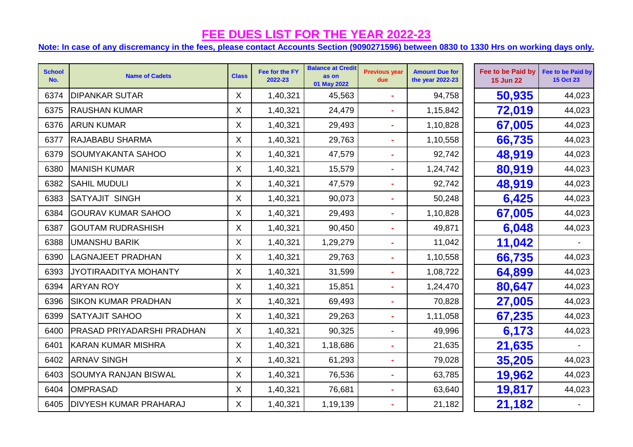| <b>School</b><br>No. | <b>Name of Cadets</b>             | <b>Class</b>              | Fee for the FY<br>2022-23 | <b>Balance at Credit</b><br>as on<br>01 May 2022 | <b>Previous year</b><br>due | <b>Amount Due for</b><br>the year 2022-23 | Fee to be Paid by<br><b>15 Jun 22</b> | Fee to be Paid by<br>15 Oct 23 |
|----------------------|-----------------------------------|---------------------------|---------------------------|--------------------------------------------------|-----------------------------|-------------------------------------------|---------------------------------------|--------------------------------|
| 6374                 | <b>DIPANKAR SUTAR</b>             | $\boldsymbol{\mathsf{X}}$ | 1,40,321                  | 45,563                                           |                             | 94,758                                    | 50,935                                | 44,023                         |
| 6375                 | <b>RAUSHAN KUMAR</b>              | X                         | 1,40,321                  | 24,479                                           |                             | 1,15,842                                  | 72,019                                | 44,023                         |
| 6376                 | <b>ARUN KUMAR</b>                 | X                         | 1,40,321                  | 29,493                                           | $\blacksquare$              | 1,10,828                                  | 67,005                                | 44,023                         |
| 6377                 | <b>RAJABABU SHARMA</b>            | X                         | 1,40,321                  | 29,763                                           |                             | 1,10,558                                  | 66,735                                | 44,023                         |
| 6379                 | SOUMYAKANTA SAHOO                 | $\mathsf{X}$              | 1,40,321                  | 47,579                                           |                             | 92,742                                    | 48,919                                | 44,023                         |
| 6380                 | <b>MANISH KUMAR</b>               | X                         | 1,40,321                  | 15,579                                           |                             | 1,24,742                                  | 80,919                                | 44,023                         |
| 6382                 | <b>SAHIL MUDULI</b>               | X                         | 1,40,321                  | 47,579                                           |                             | 92,742                                    | 48,919                                | 44,023                         |
| 6383                 | <b>SATYAJIT SINGH</b>             | X                         | 1,40,321                  | 90,073                                           |                             | 50,248                                    | 6,425                                 | 44,023                         |
| 6384                 | <b>GOURAV KUMAR SAHOO</b>         | $\mathsf{X}$              | 1,40,321                  | 29,493                                           |                             | 1,10,828                                  | 67,005                                | 44,023                         |
| 6387                 | <b>GOUTAM RUDRASHISH</b>          | X                         | 1,40,321                  | 90,450                                           |                             | 49,871                                    | 6,048                                 | 44,023                         |
| 6388                 | <b>UMANSHU BARIK</b>              | X                         | 1,40,321                  | 1,29,279                                         |                             | 11,042                                    | 11,042                                |                                |
| 6390                 | <b>LAGNAJEET PRADHAN</b>          | $\mathsf{X}$              | 1,40,321                  | 29,763                                           |                             | 1,10,558                                  | 66,735                                | 44,023                         |
| 6393                 | JYOTIRAADITYA MOHANTY             | X                         | 1,40,321                  | 31,599                                           |                             | 1,08,722                                  | 64,899                                | 44,023                         |
| 6394                 | <b>ARYAN ROY</b>                  | $\mathsf{X}$              | 1,40,321                  | 15,851                                           |                             | 1,24,470                                  | 80,647                                | 44,023                         |
| 6396                 | <b>SIKON KUMAR PRADHAN</b>        | X                         | 1,40,321                  | 69,493                                           |                             | 70,828                                    | 27,005                                | 44,023                         |
| 6399                 | <b>SATYAJIT SAHOO</b>             | $\mathsf{X}$              | 1,40,321                  | 29,263                                           |                             | 1,11,058                                  | 67,235                                | 44,023                         |
| 6400                 | <b>PRASAD PRIYADARSHI PRADHAN</b> | X                         | 1,40,321                  | 90,325                                           |                             | 49,996                                    | 6,173                                 | 44,023                         |
| 6401                 | <b>KARAN KUMAR MISHRA</b>         | X                         | 1,40,321                  | 1,18,686                                         |                             | 21,635                                    | 21,635                                |                                |
| 6402                 | <b>ARNAV SINGH</b>                | $\mathsf{X}$              | 1,40,321                  | 61,293                                           |                             | 79,028                                    | 35,205                                | 44,023                         |
| 6403                 | <b>SOUMYA RANJAN BISWAL</b>       | X                         | 1,40,321                  | 76,536                                           |                             | 63,785                                    | 19,962                                | 44,023                         |
| 6404                 | <b>OMPRASAD</b>                   | X                         | 1,40,321                  | 76,681                                           |                             | 63,640                                    | 19,817                                | 44,023                         |
| 6405                 | <b>DIVYESH KUMAR PRAHARAJ</b>     | $\mathsf{X}$              | 1,40,321                  | 1,19,139                                         |                             | 21,182                                    | 21,182                                |                                |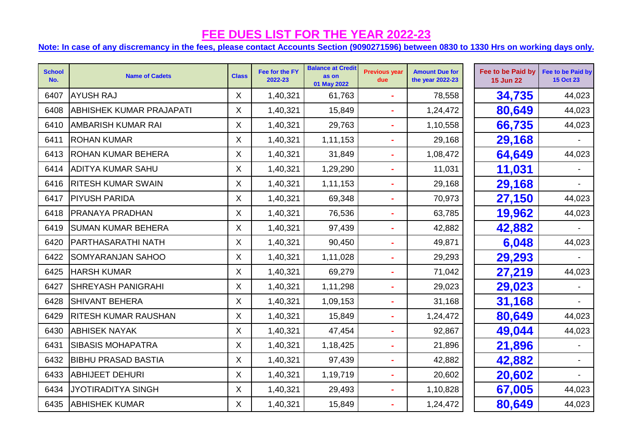| <b>School</b><br>No. | <b>Name of Cadets</b>           | <b>Class</b> | Fee for the FY<br>2022-23 | <b>Balance at Credit</b><br>as on<br>01 May 2022 | <b>Previous year</b><br>due | <b>Amount Due for</b><br>the year 2022-23 | Fee to be Paid by<br><b>15 Jun 22</b> | Fee to be Paid by<br><b>15 Oct 23</b> |
|----------------------|---------------------------------|--------------|---------------------------|--------------------------------------------------|-----------------------------|-------------------------------------------|---------------------------------------|---------------------------------------|
| 6407                 | <b>AYUSH RAJ</b>                | X            | 1,40,321                  | 61,763                                           | $\sim$                      | 78,558                                    | 34,735                                | 44,023                                |
| 6408                 | <b>ABHISHEK KUMAR PRAJAPATI</b> | $\mathsf{X}$ | 1,40,321                  | 15,849                                           | $\blacksquare$              | 1,24,472                                  | 80,649                                | 44,023                                |
| 6410                 | <b>AMBARISH KUMAR RAI</b>       | X            | 1,40,321                  | 29,763                                           | $\blacksquare$              | 1,10,558                                  | 66,735                                | 44,023                                |
| 6411                 | <b>ROHAN KUMAR</b>              | X            | 1,40,321                  | 1,11,153                                         | $\blacksquare$              | 29,168                                    | 29,168                                |                                       |
| 6413                 | <b>ROHAN KUMAR BEHERA</b>       | X            | 1,40,321                  | 31,849                                           | $\blacksquare$              | 1,08,472                                  | 64,649                                | 44,023                                |
| 6414                 | <b>ADITYA KUMAR SAHU</b>        | $\mathsf{X}$ | 1,40,321                  | 1,29,290                                         | $\blacksquare$              | 11,031                                    | 11,031                                |                                       |
| 6416                 | <b>RITESH KUMAR SWAIN</b>       | X            | 1,40,321                  | 1,11,153                                         | $\blacksquare$              | 29,168                                    | 29,168                                |                                       |
| 6417                 | <b>PIYUSH PARIDA</b>            | $\mathsf{X}$ | 1,40,321                  | 69,348                                           |                             | 70,973                                    | 27,150                                | 44,023                                |
| 6418                 | <b>PRANAYA PRADHAN</b>          | $\mathsf{X}$ | 1,40,321                  | 76,536                                           | $\blacksquare$              | 63,785                                    | 19,962                                | 44,023                                |
| 6419                 | <b>SUMAN KUMAR BEHERA</b>       | X            | 1,40,321                  | 97,439                                           | $\sim$                      | 42,882                                    | 42,882                                |                                       |
| 6420                 | <b>PARTHASARATHI NATH</b>       | X            | 1,40,321                  | 90,450                                           | $\blacksquare$              | 49,871                                    | 6,048                                 | 44,023                                |
| 6422                 | <b>SOMYARANJAN SAHOO</b>        | X            | 1,40,321                  | 1,11,028                                         | $\blacksquare$              | 29,293                                    | 29,293                                |                                       |
| 6425                 | <b>HARSH KUMAR</b>              | X            | 1,40,321                  | 69,279                                           | $\blacksquare$              | 71,042                                    | 27,219                                | 44,023                                |
| 6427                 | <b>SHREYASH PANIGRAHI</b>       | X            | 1,40,321                  | 1,11,298                                         | ä,                          | 29,023                                    | 29,023                                |                                       |
| 6428                 | <b>SHIVANT BEHERA</b>           | $\mathsf{X}$ | 1,40,321                  | 1,09,153                                         | $\blacksquare$              | 31,168                                    | 31,168                                |                                       |
| 6429                 | RITESH KUMAR RAUSHAN            | X            | 1,40,321                  | 15,849                                           | $\blacksquare$              | 1,24,472                                  | 80,649                                | 44,023                                |
| 6430                 | <b>ABHISEK NAYAK</b>            | $\mathsf{X}$ | 1,40,321                  | 47,454                                           | $\blacksquare$              | 92,867                                    | 49,044                                | 44,023                                |
| 6431                 | <b>SIBASIS MOHAPATRA</b>        | X            | 1,40,321                  | 1,18,425                                         | $\blacksquare$              | 21,896                                    | 21,896                                |                                       |
| 6432                 | <b>BIBHU PRASAD BASTIA</b>      | X            | 1,40,321                  | 97,439                                           | $\blacksquare$              | 42,882                                    | 42,882                                |                                       |
| 6433                 | <b>ABHIJEET DEHURI</b>          | X            | 1,40,321                  | 1,19,719                                         | $\blacksquare$              | 20,602                                    | 20,602                                |                                       |
| 6434                 | <b>JYOTIRADITYA SINGH</b>       | X            | 1,40,321                  | 29,493                                           | ä,                          | 1,10,828                                  | 67,005                                | 44,023                                |
| 6435                 | <b>ABHISHEK KUMAR</b>           | X            | 1,40,321                  | 15,849                                           |                             | 1,24,472                                  | 80,649                                | 44,023                                |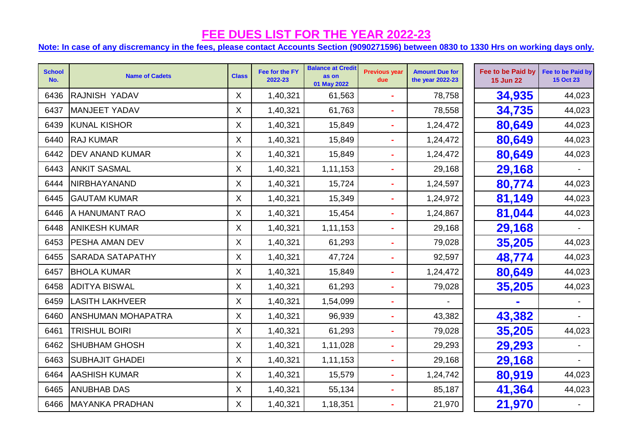| <b>School</b><br>No. | <b>Name of Cadets</b>     | <b>Class</b> | Fee for the FY<br>2022-23 | <b>Balance at Credit</b><br>as on<br>01 May 2022 | <b>Previous year</b><br>due | <b>Amount Due for</b><br>the year 2022-23 | Fee to be Paid by<br><b>15 Jun 22</b> | Fee to be Paid by<br><b>15 Oct 23</b> |
|----------------------|---------------------------|--------------|---------------------------|--------------------------------------------------|-----------------------------|-------------------------------------------|---------------------------------------|---------------------------------------|
| 6436                 | <b>RAJNISH YADAV</b>      | X            | 1,40,321                  | 61,563                                           | $\blacksquare$              | 78,758                                    | 34,935                                | 44,023                                |
| 6437                 | MANJEET YADAV             | X.           | 1,40,321                  | 61,763                                           |                             | 78,558                                    | 34,735                                | 44,023                                |
| 6439                 | <b>KUNAL KISHOR</b>       | X.           | 1,40,321                  | 15,849                                           | $\blacksquare$              | 1,24,472                                  | 80,649                                | 44,023                                |
| 6440                 | <b>RAJ KUMAR</b>          | $\mathsf{X}$ | 1,40,321                  | 15,849                                           | $\blacksquare$              | 1,24,472                                  | 80,649                                | 44,023                                |
| 6442                 | <b>DEV ANAND KUMAR</b>    | X.           | 1,40,321                  | 15,849                                           |                             | 1,24,472                                  | 80,649                                | 44,023                                |
| 6443                 | <b>ANKIT SASMAL</b>       | X.           | 1,40,321                  | 1,11,153                                         | $\blacksquare$              | 29,168                                    | 29,168                                |                                       |
| 6444                 | NIRBHAYANAND              | $\mathsf{X}$ | 1,40,321                  | 15,724                                           | $\blacksquare$              | 1,24,597                                  | 80,774                                | 44,023                                |
| 6445                 | <b>GAUTAM KUMAR</b>       | $\mathsf{X}$ | 1,40,321                  | 15,349                                           |                             | 1,24,972                                  | 81,149                                | 44,023                                |
| 6446                 | A HANUMANT RAO            | X.           | 1,40,321                  | 15,454                                           | $\blacksquare$              | 1,24,867                                  | 81,044                                | 44,023                                |
| 6448                 | <b>ANIKESH KUMAR</b>      | X.           | 1,40,321                  | 1,11,153                                         | $\blacksquare$              | 29,168                                    | 29,168                                |                                       |
| 6453                 | <b>PESHA AMAN DEV</b>     | X.           | 1,40,321                  | 61,293                                           | $\sim$                      | 79,028                                    | 35,205                                | 44,023                                |
| 6455                 | <b>SARADA SATAPATHY</b>   | X.           | 1,40,321                  | 47,724                                           | $\blacksquare$              | 92,597                                    | 48,774                                | 44,023                                |
| 6457                 | <b>BHOLA KUMAR</b>        | X.           | 1,40,321                  | 15,849                                           | $\blacksquare$              | 1,24,472                                  | 80,649                                | 44,023                                |
| 6458                 | <b>ADITYA BISWAL</b>      | $\mathsf{X}$ | 1,40,321                  | 61,293                                           | ÷                           | 79,028                                    | 35,205                                | 44,023                                |
| 6459                 | <b>LASITH LAKHVEER</b>    | X.           | 1,40,321                  | 1,54,099                                         |                             |                                           |                                       |                                       |
| 6460                 | <b>ANSHUMAN MOHAPATRA</b> | $\mathsf{X}$ | 1,40,321                  | 96,939                                           | $\sim$                      | 43,382                                    | 43,382                                |                                       |
| 6461                 | <b>TRISHUL BOIRI</b>      | X.           | 1,40,321                  | 61,293                                           | $\blacksquare$              | 79,028                                    | 35,205                                | 44,023                                |
| 6462                 | <b>SHUBHAM GHOSH</b>      | X.           | 1,40,321                  | 1,11,028                                         | $\blacksquare$              | 29,293                                    | 29,293                                |                                       |
| 6463                 | <b>SUBHAJIT GHADEI</b>    | X.           | 1,40,321                  | 1,11,153                                         | $\blacksquare$              | 29,168                                    | 29,168                                |                                       |
| 6464                 | <b>AASHISH KUMAR</b>      | X            | 1,40,321                  | 15,579                                           | ÷.                          | 1,24,742                                  | 80,919                                | 44,023                                |
| 6465                 | <b>ANUBHAB DAS</b>        | $\mathsf{X}$ | 1,40,321                  | 55,134                                           | $\blacksquare$              | 85,187                                    | 41,364                                | 44,023                                |
| 6466                 | MAYANKA PRADHAN           | X            | 1,40,321                  | 1,18,351                                         |                             | 21,970                                    | 21,970                                |                                       |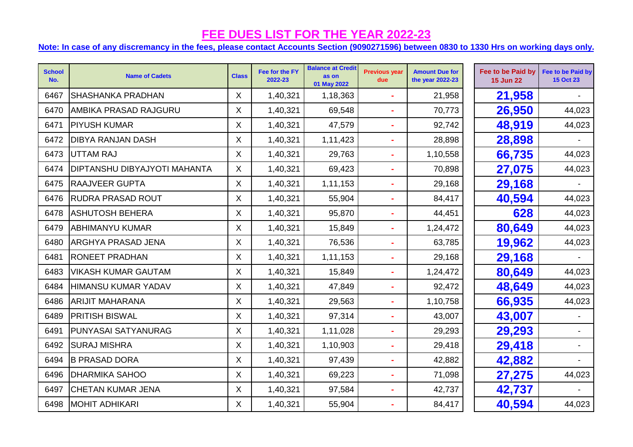| <b>School</b><br>No. | <b>Name of Cadets</b>               | <b>Class</b> | Fee for the FY<br>2022-23 | <b>Balance at Credit</b><br>as on<br>01 May 2022 | <b>Previous year</b><br>due | <b>Amount Due for</b><br>the year 2022-23 | Fee to be Paid by<br><b>15 Jun 22</b> | Fee to be Paid by<br><b>15 Oct 23</b> |
|----------------------|-------------------------------------|--------------|---------------------------|--------------------------------------------------|-----------------------------|-------------------------------------------|---------------------------------------|---------------------------------------|
| 6467                 | <b>SHASHANKA PRADHAN</b>            | X            | 1,40,321                  | 1,18,363                                         |                             | 21,958                                    | 21,958                                |                                       |
| 6470                 | <b>AMBIKA PRASAD RAJGURU</b>        | $\mathsf{X}$ | 1,40,321                  | 69,548                                           |                             | 70,773                                    | 26,950                                | 44,023                                |
| 6471                 | <b>PIYUSH KUMAR</b>                 | X.           | 1,40,321                  | 47,579                                           |                             | 92,742                                    | 48,919                                | 44,023                                |
| 6472                 | <b>DIBYA RANJAN DASH</b>            | X.           | 1,40,321                  | 1,11,423                                         |                             | 28,898                                    | 28,898                                |                                       |
| 6473                 | UTTAM RAJ                           | $\mathsf{X}$ | 1,40,321                  | 29,763                                           |                             | 1,10,558                                  | 66,735                                | 44,023                                |
| 6474                 | <b>DIPTANSHU DIBYAJYOTI MAHANTA</b> | $\mathsf{X}$ | 1,40,321                  | 69,423                                           |                             | 70,898                                    | 27,075                                | 44,023                                |
| 6475                 | <b>RAAJVEER GUPTA</b>               | X            | 1,40,321                  | 1,11,153                                         |                             | 29,168                                    | 29,168                                |                                       |
| 6476                 | <b>RUDRA PRASAD ROUT</b>            | X            | 1,40,321                  | 55,904                                           |                             | 84,417                                    | 40,594                                | 44,023                                |
| 6478                 | <b>ASHUTOSH BEHERA</b>              | X.           | 1,40,321                  | 95,870                                           |                             | 44,451                                    | 628                                   | 44,023                                |
| 6479                 | <b>ABHIMANYU KUMAR</b>              | X.           | 1,40,321                  | 15,849                                           |                             | 1,24,472                                  | 80,649                                | 44,023                                |
| 6480                 | <b>ARGHYA PRASAD JENA</b>           | X.           | 1,40,321                  | 76,536                                           |                             | 63,785                                    | 19,962                                | 44,023                                |
| 6481                 | <b>RONEET PRADHAN</b>               | X.           | 1,40,321                  | 1,11,153                                         |                             | 29,168                                    | 29,168                                |                                       |
| 6483                 | <b>VIKASH KUMAR GAUTAM</b>          | X.           | 1,40,321                  | 15,849                                           |                             | 1,24,472                                  | 80,649                                | 44,023                                |
| 6484                 | <b>HIMANSU KUMAR YADAV</b>          | X            | 1,40,321                  | 47,849                                           |                             | 92,472                                    | 48,649                                | 44,023                                |
| 6486                 | <b>ARIJIT MAHARANA</b>              | $\mathsf{X}$ | 1,40,321                  | 29,563                                           |                             | 1,10,758                                  | 66,935                                | 44,023                                |
| 6489                 | <b>PRITISH BISWAL</b>               | $\mathsf{X}$ | 1,40,321                  | 97,314                                           | $\blacksquare$              | 43,007                                    | 43,007                                |                                       |
| 6491                 | <b>PUNYASAI SATYANURAG</b>          | X.           | 1,40,321                  | 1,11,028                                         |                             | 29,293                                    | 29,293                                |                                       |
| 6492                 | <b>SURAJ MISHRA</b>                 | X.           | 1,40,321                  | 1,10,903                                         |                             | 29,418                                    | 29,418                                |                                       |
| 6494                 | <b>B PRASAD DORA</b>                | $\mathsf{X}$ | 1,40,321                  | 97,439                                           |                             | 42,882                                    | 42,882                                |                                       |
| 6496                 | <b>DHARMIKA SAHOO</b>               | X            | 1,40,321                  | 69,223                                           |                             | 71,098                                    | 27,275                                | 44,023                                |
| 6497                 | <b>CHETAN KUMAR JENA</b>            | X            | 1,40,321                  | 97,584                                           |                             | 42,737                                    | 42,737                                |                                       |
| 6498                 | <b>MOHIT ADHIKARI</b>               | X            | 1,40,321                  | 55,904                                           |                             | 84,417                                    | 40,594                                | 44,023                                |